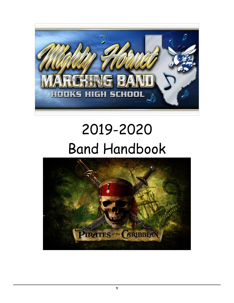

# 2019-2020 Band Handbook

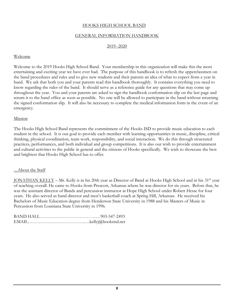# HOOKS HIGH SCHOOL BAND

# GENERAL INFORMATION HANDBOOK

#### 2019--2020

#### Welcome

Welcome to the 2019 Hooks High School Band. Your membership in this organization will make this the most entertaining and exciting year we have ever had. The purpose of this handbook is to refresh the upperclassmen on the band procedures and rules and to give new students and their parents an idea of what to expect from a year in band. We ask that both you and your parents read this handbook thoroughly. It contains everything you need to know regarding the rules of the band. It should serve as a reference guide for any questions that may come up throughout the year. You and your parents are asked to sign the handbook conformation slip on the last page and return it to the band office as soon as possible. No one will be allowed to participate in the band without returning the signed conformation slip. It will also be necessary to complete the medical information form in the event of an emergency.

#### Mission

The Hooks High School Band represents the commitment of the Hooks ISD to provide music education to each student in the school. It is our goal to provide each member with learning opportunities in music, discipline, critical thinking, physical coordination, team work, responsibility, and social interaction. We do this through structured practices, performances, and both individual and group competitions. It is also our wish to provide entertainment and cultural activities to the public in general and the citizens of Hooks specifically. We wish to showcase the best and brightest that Hooks High School has to offer.

#### ....About the Staff

JONATHAN KELLY - Mr. Kelly is in his 20th year as Director of Band at Hooks High School and in his 31<sup>th</sup> year of teaching overall. He came to Hooks from Prescott, Arkansas where he was director for six years. Before that, he was the assistant director of Bands and percussion instructor at Hope High School under Robert Hesse for four years. He also served as band director and men's basketball coach at Spring Hill, Arkansas. He received his Bachelors of Music Education degree from Henderson State University in 1988 and his Masters of Music in Percussion from Louisiana State University in 1996.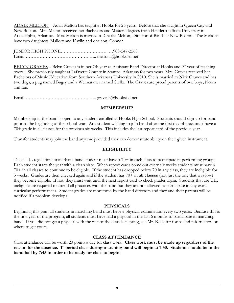ADAIR MELTON – Adair Melton has taught at Hooks for 25 years. Before that she taught in Queen City and New Boston. Mrs. Melton received her Bachelors and Masters degrees from Henderson State University in Arkadelphia, Arkansas. Mrs. Melton is married to Charlie Melton, Director of Bands at New Boston. The Meltons have two daughters, Mallory and Kaylin and one son, Conner.

JUNIOR HIGH PHONE…………………………..…903-547-2568 Email…………………………………….….. meltona@hooksisd.net

BELYN GRAVES – Belyn Graves is in her 7th year as Assistant Band Director at Hooks and 9<sup>th</sup> year of teaching overall. She previously taught at Lafayette County in Stamps, Arkansas for two years. Mrs. Graves received her Bachelors of Music Education from Southern Arkansas University in 2010. She is married to Nick Graves and has two dogs, a pug named Bugsy and a Weimaraner named Stella. The Graves are proud parents of two boys, Nolan and Ian.

Email…………………………………….….. gravesb@hooksisd.net

# **MEMBERSHIP**

Membership in the band is open to any student enrolled at Hooks High School. Students should sign up for band prior to the beginning of the school year. Any student wishing to join band after the first day of class must have a 70+ grade in all classes for the previous six weeks. This includes the last report card of the previous year.

Transfer students may join the band anytime provided they can demonstrate ability on their given instrument.

# **ELIGIBILITY**

Texas UIL regulations state that a band student must have a 70+ in each class to participate in performing groups. Each student starts the year with a clean slate. When report cards come out every six weeks students must have a 70+ in all classes to continue to be eligible. If the student has dropped below 70 in any class, they are ineligible for 3 weeks. Grades are then checked again and if the student has 70+ in **all classes** (not just the one that was low) they become eligible. If not, they must wait until the next report card to check grades again. Students that are UIL ineligible are required to attend all practices with the band but they are not allowed to participate in any extracurricular performances. Student grades are monitored by the band directors and they and their parents will be notified if a problem develops.

# **PHYSICALS**

Beginning this year, all students in marching band must have a physical examination every two years. Because this is the first year of the program, all students must have had a physical in the last 6 months to participate in marching band. If you did not get a physical with the rest of the class last spring, see Mr. Kelly for forms and information on where to get yours.

# **CLASS ATTENDANCE**

Class attendance will be worth 20 points a day for class work. **Class work must be made up regardless of the**  reason for the absence. 1<sup>st</sup> period class during marching band will begin at 7:50. Students should be in the **band hall by 7:45 in order to be ready for class to begin!**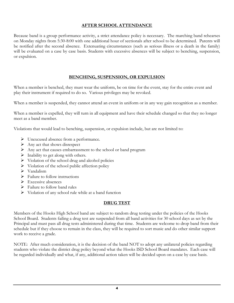# **AFTER SCHOOL ATTENDANCE**

Because band is a group performance activity, a strict attendance policy is necessary. The marching band rehearses on Monday nights from 5:30-8:00 with one additional hour of sectionals after school to be determined. Parents will be notified after the second absence. Extenuating circumstances (such as serious illness or a death in the family) will be evaluated on a case by case basis. Students with excessive absences will be subject to benching, suspension, or expulsion.

# **BENCHING, SUSPENSION, OR EXPULSION**

When a member is benched, they must wear the uniform, be on time for the event, stay for the entire event and play their instrument if required to do so. Various privileges may be revoked.

When a member is suspended, they cannot attend an event in uniform or in any way gain recognition as a member.

When a member is expelled, they will turn in all equipment and have their schedule changed so that they no longer meet as a band member.

Violations that would lead to benching, suspension, or expulsion include, but are not limited to:

- Unexcused absence from a performance.
- $\triangleright$  Any act that shows disrespect
- $\triangleright$  Any act that causes embarrassment to the school or band program
- $\triangleright$  Inability to get along with others.
- $\triangleright$  Violation of the school drug and alcohol policies
- $\triangleright$  Violation of the school public affection policy
- $\triangleright$  Vandalism
- $\triangleright$  Failure to follow instructions
- $\triangleright$  Excessive absences
- $\triangleright$  Failure to follow band rules
- $\triangleright$  Violation of any school rule while at a band function

#### **DRUG TEST**

Members of the Hooks High School band are subject to random drug testing under the policies of the Hooks School Board. Students failing a drug test are suspended from all band activities for 30 school days as set by the Principal and must pass all drug tests administered during that time. Students are welcome to drop band from their schedule but if they choose to remain in the class, they will be required to sort music and do other similar support work to receive a grade.

NOTE: After much consideration, it is the decision of the band NOT to adopt any unilateral policies regarding students who violate the district drug policy beyond what the Hooks ISD School Board mandates. Each case will be regarded individually and what, if any, additional action taken will be decided upon on a case by case basis.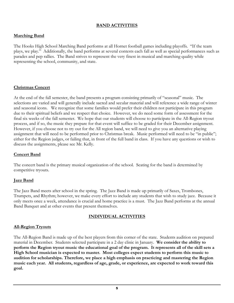# **BAND ACTIVITIES**

# **Marching Band**

The Hooks High School Marching Band performs at all Hornet football games including playoffs. "If the team plays, we play." Additionally, the band performs at several contests each fall as well as special performances such as parades and pep rallies. The Band strives to represent the very finest in musical and marching quality while representing the school, community, and state.

# **Christmas Concert**

At the end of the fall semester, the band presents a program consisting primarily of "seasonal" music. The selections are varied and will generally include sacred and secular material and will reference a wide range of winter and seasonal icons. We recognize that some families would prefer their children not participate in this program due to their spiritual beliefs and we respect that choice. However, we do need some form of assessment for the final six weeks of the fall semester. We hope that our students will choose to participate in the All-Region tryout process, and if so, the music they prepare for that event will suffice to be graded for their December assignment. However, if you choose not to try out for the All region band, we will need to give you an alternative playing assignment that will need to be performed prior to Christmas break. Music performed will need to be "in public"; either for the Region judges, or failing that, in front of the full band in class. If you have any questions or wish to discuss the assignments, please see Mr. Kelly.

# **Concert Band**

The concert band is the primary musical organization of the school. Seating for the band is determined by competitive tryouts.

#### **Jazz Band**

The Jazz Band meets after school in the spring. The Jazz Band is made up primarily of Saxes, Trombones, Trumpets, and Rhythm; however, we make every effort to include any students that wish to study jazz. Because it only meets once a week, attendance is crucial and home practice is a must. The Jazz Band performs at the annual Band Banquet and at other events that present themselves.

# **INDIVIDUAL ACTIVITIES**

#### **All-Region Tryouts**

The All-Region Band is made up of the best players from this corner of the state. Students audition on prepared material in December. Students selected participate in a 2 day clinic in January. **We consider the ability to perform the Region tryout music the educational goal of the program. It represents all of the skill sets a High School musician is expected to master. Most colleges expect students to perform this music to audition for scholarships. Therefore, we place a high emphasis on practicing and mastering the Region music each year. All students, regardless of age, grade, or experience, are expected to work toward this goal.**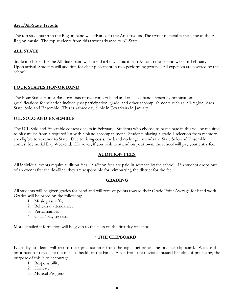# **Area/All-State Tryouts**

The top students from the Region band will advance to the Area tryouts. The tryout material is the same as the All-Region music. The top students from this tryout advance to All-State.

#### **ALL STATE**

Students chosen for the All-State band will attend a 4 day clinic in San Antonio the second week of February. Upon arrival, Students will audition for chair placement in two performing groups. All expenses are covered by the school.

# **FOUR STATES HONOR BAND**

The Four States Honor Band consists of two concert band and one jazz band chosen by nomination. Qualifications for selection include past participation, grade, and other accomplishments such as All-region, Area, State, Solo and Ensemble. This is a three day clinic in Texarkana in January.

#### **UIL SOLO AND ENSEMBLE**

The UIL Solo and Ensemble contest occurs in February. Students who choose to participate in this will be required to play music from a required list with a piano accompaniment. Students playing a grade 1 selection from memory are eligible to advance to State. Due to rising costs, the band no longer attends the State Solo and Ensemble contest Memorial Day Weekend. However, if you wish to attend on your own, the school will pay your entry fee.

#### **AUDITION FEES**

All individual events require audition fees. Audition fees are paid in advance by the school. If a student drops out of an event after the deadline, they are responsible for reimbursing the district for the fee.

#### **GRADING**

All students will be given grades for band and will receive points toward their Grade Point Average for band work. Grades will be based on the following:

- 1. Music pass offs;
- 2. Rehearsal attendance;
- 3. Performances
- 4. Chair/playing tests

More detailed information will be given to the class on the first day of school.

#### **"THE CLIPBOARD"**

Each day, students will record their practice time from the night before on the practice clipboard. We use this information to evaluate the musical health of the band. Aside from the obvious musical benefits of practicing, the purpose of this is to encourage;

- 1. Responsibility
- 2. Honesty
- 3. Musical Progress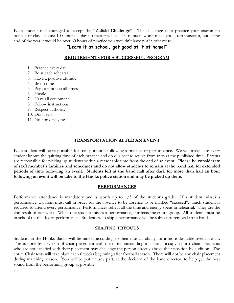Each student is encouraged to accept the **"Zaliski Challenge"**. The challenge is to practice your instrument outside of class at least 10 minutes a day no matter what. Ten minuets won't make you a top musician, but at the end of the year it would be over 60 hours of practice you wouldn't have put in otherwise.

# **"Learn it at school, get good at it at home!"**

# **REQUIRMENTS FOR A SUCCESSFUL PROGRAM**

- 1. Practice every day
- 2. Be at each rehearsal
- 3. Have a positive attitude
- 4. Be on time
- 5. Pay attention at all times
- 6. Hustle
- 7. Have all equipment
- 8. Follow instructions
- 9. Respect authority
- 10. Don't talk

.

11. No horse playing

# **TRANSPORTATION AFTER AN EVENT**

Each student will be responsible for transportation following a practice or performance. We will make sure every student knows the quitting time of each practice and do our best to return from trips at the published time. Parents are responsible for picking up students within a reasonable time from the end of an event. **Please be considerate of staff member's families and schedules and do not allow students to remain at the band hall for extended periods of time following an event. Students left at the band hall after dark for more than half an hour following an event will be take to the Hooks police station and may be picked up there.** 

#### **PERFORMANCES**

Performance attendance is mandatory and is worth up to 1/3 of the student's grade. If a student misses a performance, a parent must call in order for the absence to be absence to be marked "excused". Each student is required to attend every performance. Performances reflect all the time and energy spent in rehearsal. They are the end result of our work! When one student misses a performance, it affects the entire group. All students must be in school on the day of performance. Students who skip a performance will be subject to removal from band.

# **SEATING TRYOUTS**

Students in the Hooks Bands will be ranked according to their musical ability for a more desirable overall result. This is done by a system of chair placement with the most outstanding musicians occupying first chair. Students who are not satisfied with their placement may challenge the person directly above their position by audition. The entire Chair tests will take place each 6 weeks beginning after football season. There will not be any chair placement during marching season. You will be put on any part, at the decision of the band director, to help get the best sound from the performing group as possible.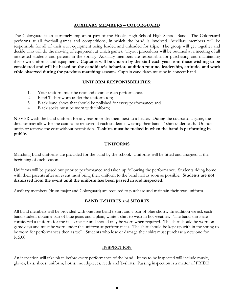# **AUXILARY MEMBERS – COLORGUARD**

The Colorguard is an extremely important part of the Hooks High School High School Band. The Colorguard performs at all football games and competitions, in which the band is involved. Auxiliary members will be responsible for all of their own equipment being loaded and unloaded for trips. The group will get together and decide who will do the moving of equipment at which games. Tryout procedures will be outlined at a meeting of all interested students and parents in the spring. Auxiliary members are responsible for purchasing and maintaining their own uniforms and equipment**. Captains will be chosen by the staff each year from those wishing to be considered and will be based on the candidate's behavior, audition routine, leadership, attitude, and work ethic observed during the previous marching season.** Captain candidates must be in concert band.

#### **UNIFORM RESPONISBILITIES:**

- 1. Your uniform must be neat and clean at each performance.
- 2. Band T-shirt worn under the uniform top;
- 3. Black band shoes that should be polished for every performance; and
- 4. Black socks must be worn with uniform;

NEVER wash the band uniform for any reason or dry them next to a heater. During the course of a game, the director may allow for the coat to be removed if each student is wearing their band T-shirt underneath. Do not unzip or remove the coat without permission. **T-shirts must be tucked in when the band is performing in public.**

# **UNIFORMS**

Marching Band uniforms are provided for the band by the school. Uniforms will be fitted and assigned at the beginning of each season.

Uniforms will be passed out prior to performance and taken up following the performance. Students riding home with their parents after an event must bring their uniform to the band hall as soon as possible. **Students are not dismissed from the event until the uniform has been passed in and inspected.**

Auxiliary members (drum major and Colorguard) are required to purchase and maintain their own uniform.

# **BAND T-SHIRTS and SHORTS**

All band members will be provided with one free band t-shirt and a pair of blue shorts. In addition we ask each band student obtain a pair of blue jeans and a plain, white t-shirt to wear in hot weather. The band shirts are considered a uniform for the fall semester and should only be worn when required. The shirt should be worn on game days and must be worn under the uniform at performances. The shirt should be kept up with in the spring to be worn for performances then as well. Students who lose or damage their shirt must purchase a new one for \$15.00

# **INSPECTION**

An inspection will take place before every performance of the band. Items to be inspected will include music, gloves, hats, shoes, uniform, horns, mouthpieces, reeds and T-shirts. Passing inspection is a matter of PRIDE.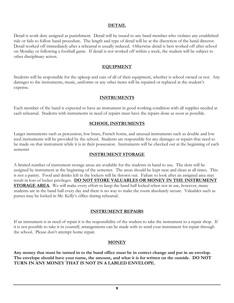# **DETAIL**

Detail is work duty assigned as punishment. Detail will be issued to any band member who violates any established rule or fails to follow band procedure. The length and type of detail will be at the discretion of the band director. Detail worked off immediately after a rehearsal is usually reduced. Otherwise detail is best worked off after school on Monday or following a football game. If detail is not worked off within a week, the student will be subject to other disciplinary action.

#### **EQUIPMENT**

Students will be responsible for the upkeep and care of all of their equipment, whether is school owned or not. Any damages to the instruments, music, uniforms or any other items will be repaired or replaced at the student's expense.

# **INSTRUMENTS**

Each member of the band is expected to have an instrument in good working condition with all supplies needed at each rehearsal. Students with instruments in need of repairs must have the repairs done as soon as possible.

#### **SCHOOL INSTRUMENTS**

Larger instruments such as percussion, low brass, French horns, and unusual instruments such as double and low reed instruments will be provided by the school. Students are responsible for any damages or repairs that need to be made on that instrument while it is in their possession. Instruments will be checked out at the beginning of each semester

#### **INSTRUMENT STORAGE**

A limited number of instrument storage areas are available for the students in band to use. The slots will be assigned by instrument at the beginning of the semester. The areas should be kept neat and clean at all times. This is not a pantry. Food and drinks left in the lockers will be thrown out. Failure to look after an assigned area may result in loss of locker privileges. **DO NOT STORE VALUABLES OR MONEY IN THE INSTRUMENT STORAGE AREA**. We will make every effort to keep the band hall locked when not in use, however, many students are in the band hall every day and there is no way to make the room absolutely secure. Valuables such as purses may be locked in Mr. Kelly's office during rehearsal.

#### **INSTRUMENT REPAIRS**

If an instrument is in need of repair it is the responsibility of the student to take the instrument to a repair shop. If it is not possible to take it in yourself, arrangements can be made with to send your instrument for repair through the school. Please don't attempt home repair.

#### **MONEY**

**Any money that must be turned in to the band office must be in correct change and put in an envelop. The envelope should have your name, the amount, and what it is for written on the outside. DO NOT TURN IN ANY MONEY THAT IS NOT IN A LABLED ENVELOPE.**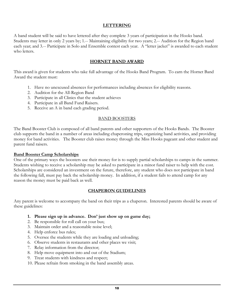# **LETTERING**

A band student will be said to have lettered after they complete 3 years of participation in the Hooks band. Students may letter in only 2 years by; 1.-- Maintaining eligibility for two years; 2.-- Audition for the Region band each year; and 3.-- Participate in Solo and Ensemble contest each year. A "letter jacket" is awarded to each student who letters.

# **HORNET BAND AWARD**

This award is given for students who take full advantage of the Hooks Band Program. To earn the Hornet Band Award the student must:

- 1. Have no unexcused absences for performances including absences for eligibility reasons.
- 2. Audition for the All-Region Band
- 3. Participate in all Clinics that the student achieves
- 4. Participate in all Band Fund Raisers.
- 5. Receive an A in band each grading period.

#### BAND BOOSTERS

The Band Booster Club is composed of all band parents and other supporters of the Hooks Bands. The Booster club supports the band in a number of areas including chaperoning trips, organizing band activities, and providing money for band activities. The Booster club raises money through the Miss Hooks pageant and other student and parent fund raisers.

#### **Band Booster Camp Scholarships**

One of the primary ways the boosters use their money for is to supply partial scholarships to camps in the summer. Students wishing to receive a scholarship may be asked to participate in a minor fund raiser to help with the cost. Scholarships are considered an investment on the future, therefore, any student who does not participate in band the following fall, must pay back the scholarship money. In addition, if a student fails to attend camp for any reason the money must be paid back as well.

#### **CHAPERON GUIDELINES**

Any parent is welcome to accompany the band on their trips as a chaperon. Interested parents should be aware of these guidelines:

- **1. Please sign up in advance. Don' just show up on game day;**
- 2. Be responsible for roll call on your bus;
- 3. Maintain order and a reasonable noise level;
- 4. Help enforce bus rules;
- 5. Oversee the students while they are loading and unloading;
- 6. Observe students in restaurants and other places we visit;
- 7. Relay information from the director;
- 8. Help move equipment into and out of the Stadium;
- 9. Treat students with kindness and respect;
- 10. Please refrain from smoking in the band assembly areas.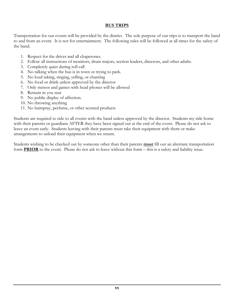# **BUS TRIPS**

Transportation for our events will be provided by the district. The sole purpose of our trips is to transport the band to and from an event. It is not for entertainment. The following rules will be followed at all times for the safety of the band.

- 1. Respect for the driver and all chaperones.
- 2. Follow all instructions of monitors, drum majors, section leaders, directors, and other adults.
- 3. Completely quiet during roll call
- 4. No talking when the bus is in town or trying to park.
- 5. No loud taking, singing, yelling, or chanting
- 6. No food or drink unless approved by the director
- 7. Only stereos and games with head phones will be allowed
- 8. Remain in you seat
- 9. No public display of affection.
- 10. No throwing anything
- 11. No hairspray, perfume, or other scented products

Students are required to ride to all events with the band unless approved by the director. Students my ride home with their parents or guardians AFTER they have been signed out at the end of the event. Please do not ask to leave an event early. Students leaving with their parents must take their equipment with them or make arrangements to unload their equipment when we return.

Students wishing to be checked out by someone other than their parents **must** fill out an alternate transportation form **PRIOR** to the event. Please do not ask to leave without this form – this is a safety and liability issue.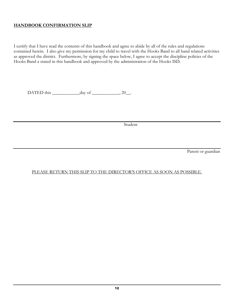# **HANDBOOK CONFIRMATION SLIP**

I certify that I have read the contents of this handbook and agree to abide by all of the rules and regulations contained herein. I also give my permission for my child to travel with the Hooks Band to all band related activities as approved the district. Furthermore, by signing the space below, I agree to accept the discipline policies of the Hooks Band a stated in this handbook and approved by the administration of the Hooks ISD.

DATED this  $\_\_\_\_\_\_\_\_\_\_\_\_\_\_\_\_\_\_\_\_$ .

Student

Parent or guardian

# PLEASE RETURN THIS SLIP TO THE DIRECTOR'S OFFICE AS SOON AS POSSIBLE.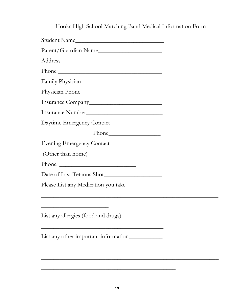# Hooks High School Marching Band Medical Information Form

| Physician Phone                                    |  |
|----------------------------------------------------|--|
|                                                    |  |
|                                                    |  |
|                                                    |  |
|                                                    |  |
| <b>Evening Emergency Contact</b>                   |  |
|                                                    |  |
|                                                    |  |
| Date of Last Tetanus Shot                          |  |
| Please List any Medication you take ______________ |  |
|                                                    |  |
|                                                    |  |
| List any other important information____________   |  |
|                                                    |  |
|                                                    |  |
|                                                    |  |